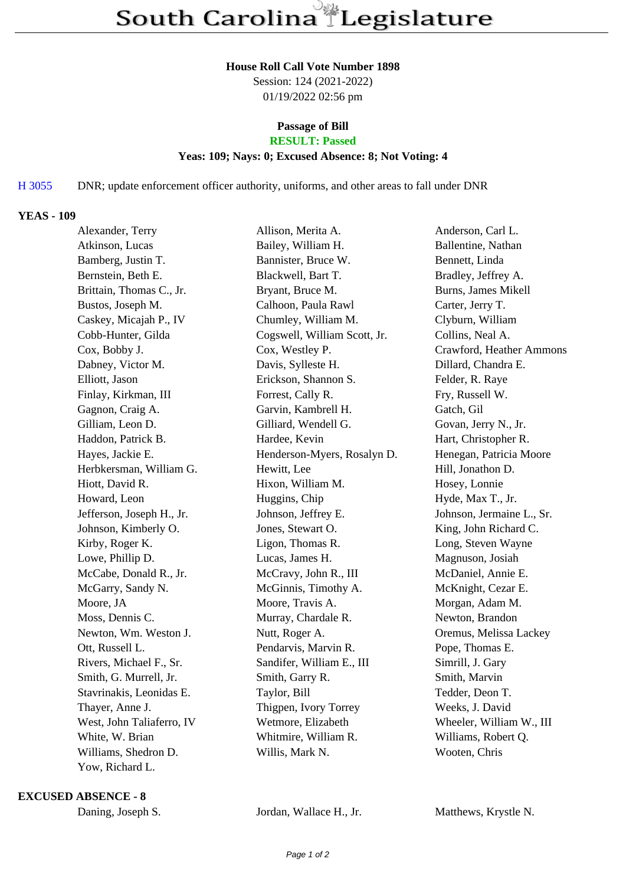#### **House Roll Call Vote Number 1898**

Session: 124 (2021-2022) 01/19/2022 02:56 pm

# **Passage of Bill**

## **RESULT: Passed**

#### **Yeas: 109; Nays: 0; Excused Absence: 8; Not Voting: 4**

### H 3055 DNR; update enforcement officer authority, uniforms, and other areas to fall under DNR

#### **YEAS - 109**

| Alexander, Terry          | Allison, Merita A.           | Anderson, Carl L.         |
|---------------------------|------------------------------|---------------------------|
| Atkinson, Lucas           | Bailey, William H.           | Ballentine, Nathan        |
| Bamberg, Justin T.        | Bannister, Bruce W.          | Bennett, Linda            |
| Bernstein, Beth E.        | Blackwell, Bart T.           | Bradley, Jeffrey A.       |
| Brittain, Thomas C., Jr.  | Bryant, Bruce M.             | Burns, James Mikell       |
| Bustos, Joseph M.         | Calhoon, Paula Rawl          | Carter, Jerry T.          |
| Caskey, Micajah P., IV    | Chumley, William M.          | Clyburn, William          |
| Cobb-Hunter, Gilda        | Cogswell, William Scott, Jr. | Collins, Neal A.          |
| Cox, Bobby J.             | Cox, Westley P.              | Crawford, Heather Ammons  |
| Dabney, Victor M.         | Davis, Sylleste H.           | Dillard, Chandra E.       |
| Elliott, Jason            | Erickson, Shannon S.         | Felder, R. Raye           |
| Finlay, Kirkman, III      | Forrest, Cally R.            | Fry, Russell W.           |
| Gagnon, Craig A.          | Garvin, Kambrell H.          | Gatch, Gil                |
| Gilliam, Leon D.          | Gilliard, Wendell G.         | Govan, Jerry N., Jr.      |
| Haddon, Patrick B.        | Hardee, Kevin                | Hart, Christopher R.      |
| Hayes, Jackie E.          | Henderson-Myers, Rosalyn D.  | Henegan, Patricia Moore   |
| Herbkersman, William G.   | Hewitt, Lee                  | Hill, Jonathon D.         |
| Hiott, David R.           | Hixon, William M.            | Hosey, Lonnie             |
| Howard, Leon              | Huggins, Chip                | Hyde, Max T., Jr.         |
| Jefferson, Joseph H., Jr. | Johnson, Jeffrey E.          | Johnson, Jermaine L., Sr. |
| Johnson, Kimberly O.      | Jones, Stewart O.            | King, John Richard C.     |
| Kirby, Roger K.           | Ligon, Thomas R.             | Long, Steven Wayne        |
| Lowe, Phillip D.          | Lucas, James H.              | Magnuson, Josiah          |
| McCabe, Donald R., Jr.    | McCravy, John R., III        | McDaniel, Annie E.        |
| McGarry, Sandy N.         | McGinnis, Timothy A.         | McKnight, Cezar E.        |
| Moore, JA                 | Moore, Travis A.             | Morgan, Adam M.           |
| Moss, Dennis C.           | Murray, Chardale R.          | Newton, Brandon           |
| Newton, Wm. Weston J.     | Nutt, Roger A.               | Oremus, Melissa Lackey    |
| Ott, Russell L.           | Pendarvis, Marvin R.         | Pope, Thomas E.           |
| Rivers, Michael F., Sr.   | Sandifer, William E., III    | Simrill, J. Gary          |
| Smith, G. Murrell, Jr.    | Smith, Garry R.              | Smith, Marvin             |
| Stavrinakis, Leonidas E.  | Taylor, Bill                 | Tedder, Deon T.           |
| Thayer, Anne J.           | Thigpen, Ivory Torrey        | Weeks, J. David           |
| West, John Taliaferro, IV | Wetmore, Elizabeth           | Wheeler, William W., III  |
| White, W. Brian           | Whitmire, William R.         | Williams, Robert Q.       |
| Williams, Shedron D.      | Willis, Mark N.              | Wooten, Chris             |
| Yow, Richard L.           |                              |                           |

**EXCUSED ABSENCE - 8**

Daning, Joseph S. Jordan, Wallace H., Jr. Matthews, Krystle N.